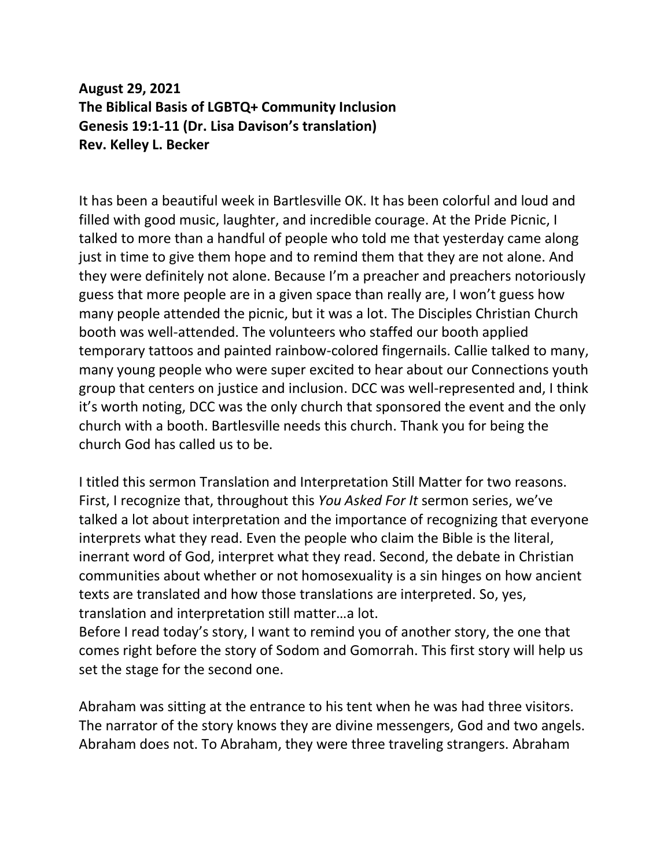## **August 29, 2021 The Biblical Basis of LGBTQ+ Community Inclusion Genesis 19:1-11 (Dr. Lisa Davison's translation) Rev. Kelley L. Becker**

It has been a beautiful week in Bartlesville OK. It has been colorful and loud and filled with good music, laughter, and incredible courage. At the Pride Picnic, I talked to more than a handful of people who told me that yesterday came along just in time to give them hope and to remind them that they are not alone. And they were definitely not alone. Because I'm a preacher and preachers notoriously guess that more people are in a given space than really are, I won't guess how many people attended the picnic, but it was a lot. The Disciples Christian Church booth was well-attended. The volunteers who staffed our booth applied temporary tattoos and painted rainbow-colored fingernails. Callie talked to many, many young people who were super excited to hear about our Connections youth group that centers on justice and inclusion. DCC was well-represented and, I think it's worth noting, DCC was the only church that sponsored the event and the only church with a booth. Bartlesville needs this church. Thank you for being the church God has called us to be.

I titled this sermon Translation and Interpretation Still Matter for two reasons. First, I recognize that, throughout this *You Asked For It* sermon series, we've talked a lot about interpretation and the importance of recognizing that everyone interprets what they read. Even the people who claim the Bible is the literal, inerrant word of God, interpret what they read. Second, the debate in Christian communities about whether or not homosexuality is a sin hinges on how ancient texts are translated and how those translations are interpreted. So, yes, translation and interpretation still matter…a lot.

Before I read today's story, I want to remind you of another story, the one that comes right before the story of Sodom and Gomorrah. This first story will help us set the stage for the second one.

Abraham was sitting at the entrance to his tent when he was had three visitors. The narrator of the story knows they are divine messengers, God and two angels. Abraham does not. To Abraham, they were three traveling strangers. Abraham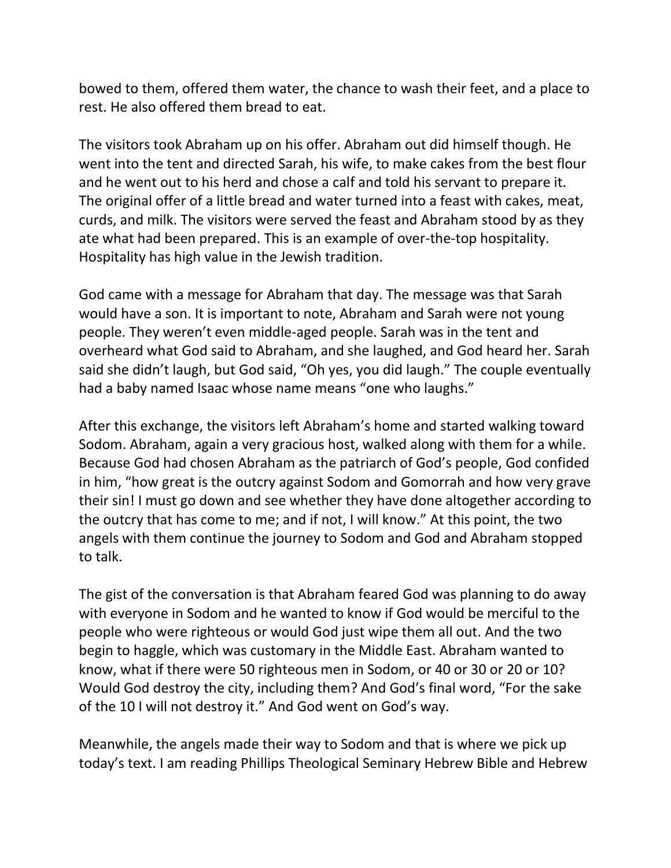bowed to them, offered them water, the chance to wash their feet, and a place to rest. He also offered them bread to eat.

The visitors took Abraham up on his offer. Abraham out did himself though. He went into the tent and directed Sarah, his wife, to make cakes from the best flour and he went out to his herd and chose a calf and told his servant to prepare it. The original offer of a little bread and water turned into a feast with cakes, meat, curds, and milk. The visitors were served the feast and Abraham stood by as they ate what had been prepared. This is an example of over-the-top hospitality. Hospitality has high value in the Jewish tradition.

God came with a message for Abraham that day. The message was that Sarah would have a son. It is important to note, Abraham and Sarah were not young people. They weren't even middle-aged people. Sarah was in the tent and overheard what God said to Abraham, and she laughed, and God heard her. Sarah said she didn't laugh, but God said, "Oh yes, you did laugh." The couple eventually had a baby named Isaac whose name means "one who laughs."

After this exchange, the visitors left Abraham's home and started walking toward Sodom. Abraham, again a very gracious host, walked along with them for a while. Because God had chosen Abraham as the patriarch of God's people, God confided in him, "how great is the outcry against Sodom and Gomorrah and how very grave their sin! I must go down and see whether they have done altogether according to the outcry that has come to me; and if not, I will know." At this point, the two angels with them continue the journey to Sodom and God and Abraham stopped to talk.

The gist of the conversation is that Abraham feared God was planning to do away with everyone in Sodom and he wanted to know if God would be merciful to the people who were righteous or would God just wipe them all out. And the two begin to haggle, which was customary in the Middle East. Abraham wanted to know, what if there were 50 righteous men in Sodom, or 40 or 30 or 20 or 10? Would God destroy the city, including them? And God's final word, "For the sake of the 10 I will not destroy it." And God went on God's way.

Meanwhile, the angels made their way to Sodom and that is where we pick up today's text. I am reading Phillips Theological Seminary Hebrew Bible and Hebrew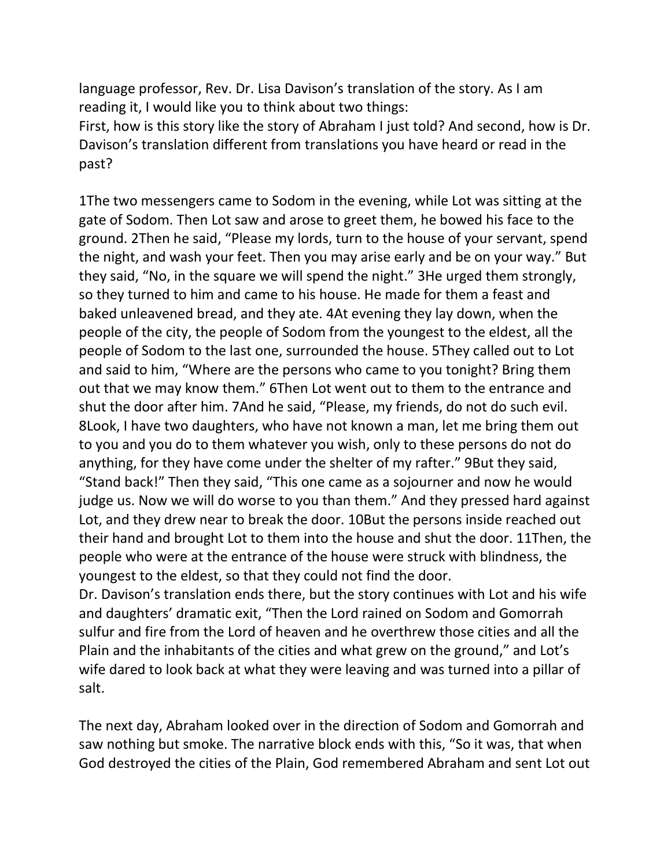language professor, Rev. Dr. Lisa Davison's translation of the story. As I am reading it, I would like you to think about two things: First, how is this story like the story of Abraham I just told? And second, how is Dr. Davison's translation different from translations you have heard or read in the

past?

1The two messengers came to Sodom in the evening, while Lot was sitting at the gate of Sodom. Then Lot saw and arose to greet them, he bowed his face to the ground. 2Then he said, "Please my lords, turn to the house of your servant, spend the night, and wash your feet. Then you may arise early and be on your way." But they said, "No, in the square we will spend the night." 3He urged them strongly, so they turned to him and came to his house. He made for them a feast and baked unleavened bread, and they ate. 4At evening they lay down, when the people of the city, the people of Sodom from the youngest to the eldest, all the people of Sodom to the last one, surrounded the house. 5They called out to Lot and said to him, "Where are the persons who came to you tonight? Bring them out that we may know them." 6Then Lot went out to them to the entrance and shut the door after him. 7And he said, "Please, my friends, do not do such evil. 8Look, I have two daughters, who have not known a man, let me bring them out to you and you do to them whatever you wish, only to these persons do not do anything, for they have come under the shelter of my rafter." 9But they said, "Stand back!" Then they said, "This one came as a sojourner and now he would judge us. Now we will do worse to you than them." And they pressed hard against Lot, and they drew near to break the door. 10But the persons inside reached out their hand and brought Lot to them into the house and shut the door. 11Then, the people who were at the entrance of the house were struck with blindness, the youngest to the eldest, so that they could not find the door.

Dr. Davison's translation ends there, but the story continues with Lot and his wife and daughters' dramatic exit, "Then the Lord rained on Sodom and Gomorrah sulfur and fire from the Lord of heaven and he overthrew those cities and all the Plain and the inhabitants of the cities and what grew on the ground," and Lot's wife dared to look back at what they were leaving and was turned into a pillar of salt.

The next day, Abraham looked over in the direction of Sodom and Gomorrah and saw nothing but smoke. The narrative block ends with this, "So it was, that when God destroyed the cities of the Plain, God remembered Abraham and sent Lot out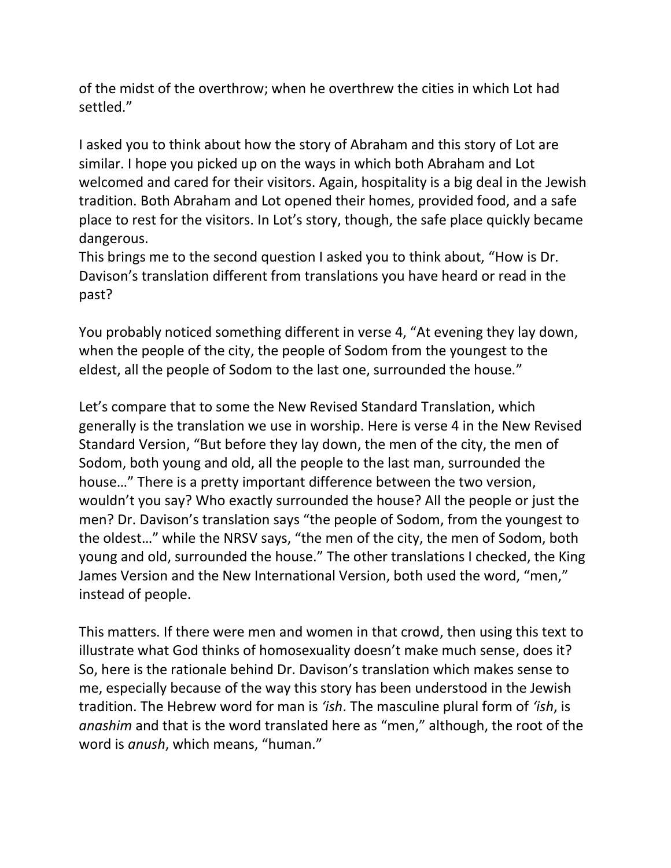of the midst of the overthrow; when he overthrew the cities in which Lot had settled."

I asked you to think about how the story of Abraham and this story of Lot are similar. I hope you picked up on the ways in which both Abraham and Lot welcomed and cared for their visitors. Again, hospitality is a big deal in the Jewish tradition. Both Abraham and Lot opened their homes, provided food, and a safe place to rest for the visitors. In Lot's story, though, the safe place quickly became dangerous.

This brings me to the second question I asked you to think about, "How is Dr. Davison's translation different from translations you have heard or read in the past?

You probably noticed something different in verse 4, "At evening they lay down, when the people of the city, the people of Sodom from the youngest to the eldest, all the people of Sodom to the last one, surrounded the house."

Let's compare that to some the New Revised Standard Translation, which generally is the translation we use in worship. Here is verse 4 in the New Revised Standard Version, "But before they lay down, the men of the city, the men of Sodom, both young and old, all the people to the last man, surrounded the house…" There is a pretty important difference between the two version, wouldn't you say? Who exactly surrounded the house? All the people or just the men? Dr. Davison's translation says "the people of Sodom, from the youngest to the oldest…" while the NRSV says, "the men of the city, the men of Sodom, both young and old, surrounded the house." The other translations I checked, the King James Version and the New International Version, both used the word, "men," instead of people.

This matters. If there were men and women in that crowd, then using this text to illustrate what God thinks of homosexuality doesn't make much sense, does it? So, here is the rationale behind Dr. Davison's translation which makes sense to me, especially because of the way this story has been understood in the Jewish tradition. The Hebrew word for man is *'ish*. The masculine plural form of *'ish*, is *anashim* and that is the word translated here as "men," although, the root of the word is *anush*, which means, "human."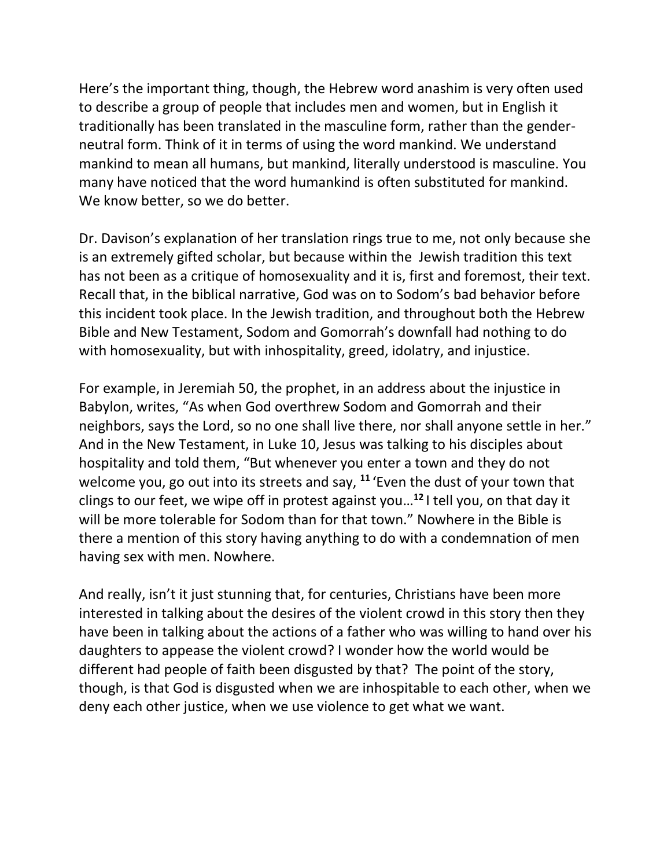Here's the important thing, though, the Hebrew word anashim is very often used to describe a group of people that includes men and women, but in English it traditionally has been translated in the masculine form, rather than the genderneutral form. Think of it in terms of using the word mankind. We understand mankind to mean all humans, but mankind, literally understood is masculine. You many have noticed that the word humankind is often substituted for mankind. We know better, so we do better.

Dr. Davison's explanation of her translation rings true to me, not only because she is an extremely gifted scholar, but because within the Jewish tradition this text has not been as a critique of homosexuality and it is, first and foremost, their text. Recall that, in the biblical narrative, God was on to Sodom's bad behavior before this incident took place. In the Jewish tradition, and throughout both the Hebrew Bible and New Testament, Sodom and Gomorrah's downfall had nothing to do with homosexuality, but with inhospitality, greed, idolatry, and injustice.

For example, in Jeremiah 50, the prophet, in an address about the injustice in Babylon, writes, "As when God overthrew Sodom and Gomorrah and their neighbors, says the Lord, so no one shall live there, nor shall anyone settle in her." And in the New Testament, in Luke 10, Jesus was talking to his disciples about hospitality and told them, "But whenever you enter a town and they do not welcome you, go out into its streets and say, **<sup>11</sup>** 'Even the dust of your town that clings to our feet, we wipe off in protest against you… **<sup>12</sup>** I tell you, on that day it will be more tolerable for Sodom than for that town." Nowhere in the Bible is there a mention of this story having anything to do with a condemnation of men having sex with men. Nowhere.

And really, isn't it just stunning that, for centuries, Christians have been more interested in talking about the desires of the violent crowd in this story then they have been in talking about the actions of a father who was willing to hand over his daughters to appease the violent crowd? I wonder how the world would be different had people of faith been disgusted by that? The point of the story, though, is that God is disgusted when we are inhospitable to each other, when we deny each other justice, when we use violence to get what we want.